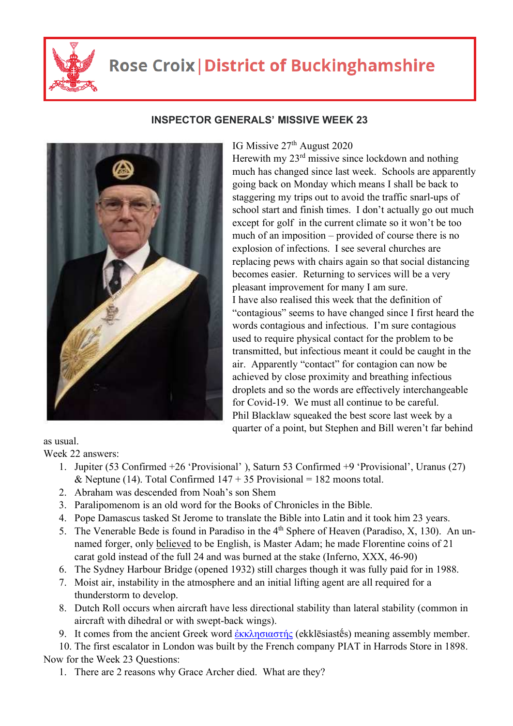

## **Rose Croix | District of Buckinghamshire**



## **INSPECTOR GENERALS' MISSIVE WEEK 23**

## IG Missive  $27<sup>th</sup>$  August 2020

Herewith my  $23<sup>rd</sup>$  missive since lockdown and nothing much has changed since last week. Schools are apparently going back on Monday which means I shall be back to staggering my trips out to avoid the traffic snarl-ups of school start and finish times. I don't actually go out much except for golf in the current climate so it won't be too much of an imposition – provided of course there is no explosion of infections. I see several churches are replacing pews with chairs again so that social distancing becomes easier. Returning to services will be a very pleasant improvement for many I am sure. I have also realised this week that the definition of "contagious" seems to have changed since I first heard the words contagious and infectious. I'm sure contagious used to require physical contact for the problem to be transmitted, but infectious meant it could be caught in the air. Apparently "contact" for contagion can now be achieved by close proximity and breathing infectious droplets and so the words are effectively interchangeable for Covid-19. We must all continue to be careful. Phil Blacklaw squeaked the best score last week by a quarter of a point, but Stephen and Bill weren't far behind

as usual.

Week 22 answers:

- 1. Jupiter (53 Confirmed +26 'Provisional' ), Saturn 53 Confirmed +9 'Provisional', Uranus (27) & Neptune (14). Total Confirmed  $147 + 35$  Provisional = 182 moons total.
- 2. Abraham was descended from Noah's son Shem
- 3. Paralipomenom is an old word for the Books of Chronicles in the Bible.
- 4. Pope Damascus tasked St Jerome to translate the Bible into Latin and it took him 23 years.
- 5. The Venerable Bede is found in Paradiso in the  $4<sup>th</sup>$  Sphere of Heaven (Paradiso, X, 130). An unnamed forger, only believed to be English, is Master Adam; he made Florentine coins of 21 carat gold instead of the full 24 and was burned at the stake (Inferno, XXX, 46-90)
- 6. The Sydney Harbour Bridge (opened 1932) still charges though it was fully paid for in 1988.
- 7. Moist air, instability in the atmosphere and an initial lifting agent are all required for a thunderstorm to develop.
- 8. Dutch Roll occurs when aircraft have less directional stability than lateral stability (common in aircraft with dihedral or with swept-back wings).

9. It comes from the ancient Greek word  $\frac{\partial x}{\partial y}$  (ekklesiastes) meaning assembly member.

10. The first escalator in London was built by the French company PIAT in Harrods Store in 1898. Now for the Week 23 Questions:

1. There are 2 reasons why Grace Archer died. What are they?